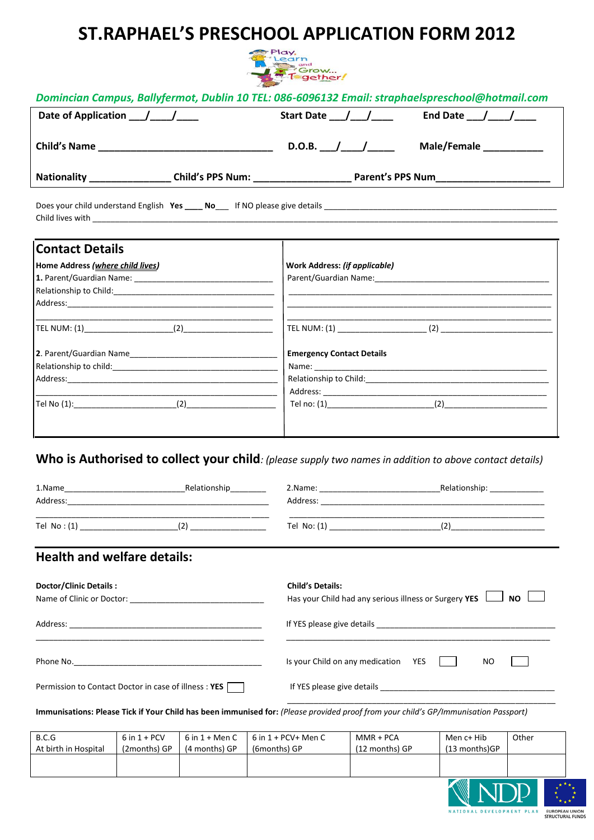# **ST.RAPHAEL'S PRESCHOOL APPLICATION FORM 2012**



|                                  |                                                                        | Domincian Campus, Ballyfermot, Dublin 10 TEL: 086-6096132 Email: straphaelspreschool@hotmail.com        |
|----------------------------------|------------------------------------------------------------------------|---------------------------------------------------------------------------------------------------------|
|                                  | Start Date ____/____/_____                                             | End Date $\frac{1}{\sqrt{1-\frac{1}{2}}}$                                                               |
|                                  | D.O.B. $\frac{1}{\sqrt{1-\frac{1}{2}}}\frac{1}{\sqrt{1-\frac{1}{2}}}}$ | Male/Female                                                                                             |
|                                  |                                                                        |                                                                                                         |
|                                  |                                                                        |                                                                                                         |
| <b>Contact Details</b>           |                                                                        |                                                                                                         |
| Home Address (where child lives) | <b>Work Address: (if applicable)</b>                                   |                                                                                                         |
|                                  |                                                                        |                                                                                                         |
|                                  |                                                                        |                                                                                                         |
|                                  |                                                                        |                                                                                                         |
|                                  |                                                                        |                                                                                                         |
|                                  | <b>Emergency Contact Details</b>                                       |                                                                                                         |
|                                  |                                                                        |                                                                                                         |
|                                  |                                                                        |                                                                                                         |
|                                  |                                                                        |                                                                                                         |
|                                  |                                                                        | Tel no: $(1)$ (2)                                                                                       |
|                                  |                                                                        | Who is Authorised to collect your child: (please supply two names in addition to above contact details) |
|                                  |                                                                        |                                                                                                         |
|                                  |                                                                        |                                                                                                         |
|                                  |                                                                        |                                                                                                         |

Tel No : (1) \_\_\_\_\_\_\_\_\_\_\_\_\_\_\_\_\_\_\_\_\_\_(2) \_\_\_\_\_\_\_\_\_\_\_\_\_\_\_\_\_ Tel No: (1) \_\_\_\_\_\_\_\_\_\_\_\_\_\_\_\_\_\_\_\_\_\_\_\_\_(2)\_\_\_\_\_\_\_\_\_\_\_\_\_\_\_\_\_\_\_\_\_

\_\_\_\_\_\_\_\_\_\_\_\_\_\_\_\_\_\_\_\_\_\_\_\_\_\_\_\_\_\_\_\_\_\_\_\_\_\_\_\_\_\_\_\_\_\_\_\_\_\_\_\_ \_\_\_\_\_\_\_\_\_\_\_\_\_\_\_\_\_\_\_\_\_\_\_\_\_\_\_\_\_\_\_\_\_\_\_\_\_\_\_\_\_\_\_\_\_\_\_\_\_\_\_\_\_\_\_\_\_

## **Health and welfare details:**

| Doctor/Clinic Details:<br>Name of Clinic or Doctor: Name of Clinic or Doctor: | <b>Child's Details:</b><br>Has your Child had any serious illness or Surgery YES $\Box$ NO |  |
|-------------------------------------------------------------------------------|--------------------------------------------------------------------------------------------|--|
|                                                                               |                                                                                            |  |
|                                                                               | Is your Child on any medication<br>NO.<br>YES                                              |  |
| Permission to Contact Doctor in case of illness: YES                          |                                                                                            |  |

**Immunisations: Please Tick if Your Child has been immunised for:** *(Please provided proof from your child's GP/Immunisation Passport)*

| B.C.G                | $6$ in $1 + PCV$ | $6$ in $1 +$ Men C | $6$ in $1 + PCV+$ Men C | MMR + PCA                   | Men c+ Hib    | Other |
|----------------------|------------------|--------------------|-------------------------|-----------------------------|---------------|-------|
| At birth in Hospital | (2months) GP     | (4 months) GP      | (6months) GP            | (12 months) GP              | (13 months)GP |       |
|                      |                  |                    |                         |                             |               |       |
|                      |                  |                    |                         |                             |               |       |
|                      |                  |                    |                         | $\sim$ $\sim$ $\sim$ $\sim$ |               |       |